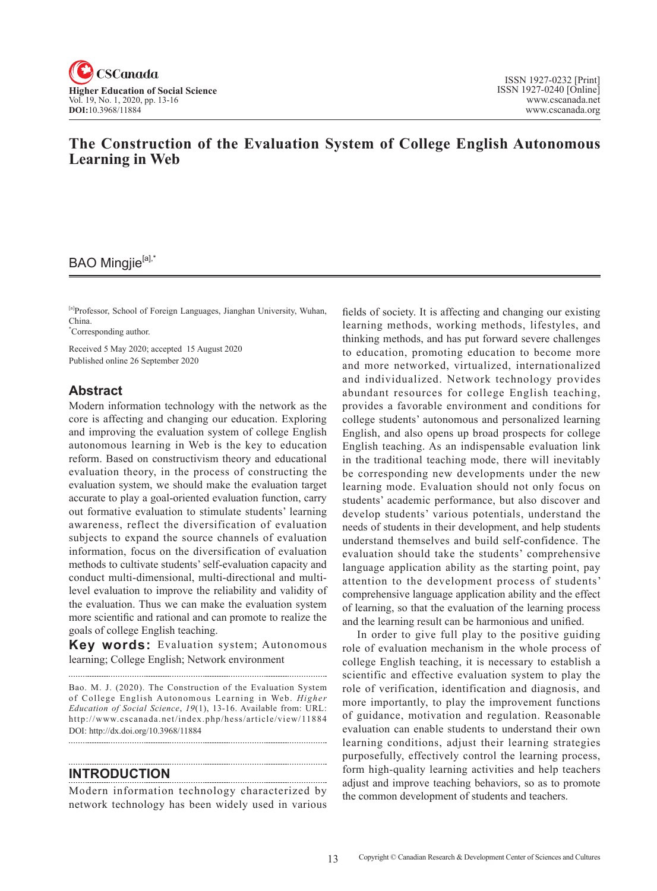

# **The Construction of the Evaluation System of College English Autonomous Learning in Web**

# BAO Mingjie<sup>[a],\*</sup>

[a]Professor, School of Foreign Languages, Jianghan University, Wuhan, China.

\* Corresponding author.

Received 5 May 2020; accepted 15 August 2020 Published online 26 September 2020

## **Abstract**

Modern information technology with the network as the core is affecting and changing our education. Exploring and improving the evaluation system of college English autonomous learning in Web is the key to education reform. Based on constructivism theory and educational evaluation theory, in the process of constructing the evaluation system, we should make the evaluation target accurate to play a goal-oriented evaluation function, carry out formative evaluation to stimulate students' learning awareness, reflect the diversification of evaluation subjects to expand the source channels of evaluation information, focus on the diversification of evaluation methods to cultivate students' self-evaluation capacity and conduct multi-dimensional, multi-directional and multilevel evaluation to improve the reliability and validity of the evaluation. Thus we can make the evaluation system more scientific and rational and can promote to realize the goals of college English teaching.

**Key words:** Evaluation system; Autonomous learning; College English; Network environment

Bao. M. J. (2020). The Construction of the Evaluation System of College English Autonomous Learning in Web. *Higher Education of Social Science, 19*(1), 13-16. Available from: URL: http://www.cscanada.net/index.php/hess/article/view/11884 DOI: http://dx.doi.org/10.3968/11884 

#### -------------------------------------**INTRODUCTION**

Modern information technology characterized by network technology has been widely used in various fields of society. It is affecting and changing our existing learning methods, working methods, lifestyles, and thinking methods, and has put forward severe challenges to education, promoting education to become more and more networked, virtualized, internationalized and individualized. Network technology provides abundant resources for college English teaching, provides a favorable environment and conditions for college students' autonomous and personalized learning English, and also opens up broad prospects for college English teaching. As an indispensable evaluation link in the traditional teaching mode, there will inevitably be corresponding new developments under the new learning mode. Evaluation should not only focus on students' academic performance, but also discover and develop students' various potentials, understand the needs of students in their development, and help students understand themselves and build self-confidence. The evaluation should take the students' comprehensive language application ability as the starting point, pay attention to the development process of students' comprehensive language application ability and the effect of learning, so that the evaluation of the learning process and the learning result can be harmonious and unified.

In order to give full play to the positive guiding role of evaluation mechanism in the whole process of college English teaching, it is necessary to establish a scientific and effective evaluation system to play the role of verification, identification and diagnosis, and more importantly, to play the improvement functions of guidance, motivation and regulation. Reasonable evaluation can enable students to understand their own learning conditions, adjust their learning strategies purposefully, effectively control the learning process, form high-quality learning activities and help teachers adjust and improve teaching behaviors, so as to promote the common development of students and teachers.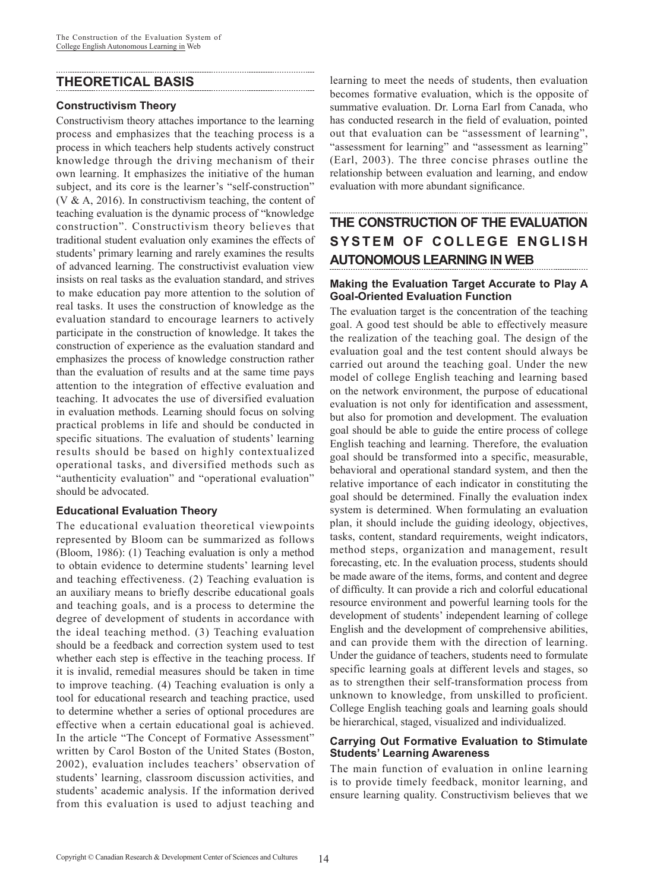# **THEORETICAL BASIS**

#### **Constructivism Theory**

Constructivism theory attaches importance to the learning process and emphasizes that the teaching process is a process in which teachers help students actively construct knowledge through the driving mechanism of their own learning. It emphasizes the initiative of the human subject, and its core is the learner's "self-construction" (V & A, 2016). In constructivism teaching, the content of teaching evaluation is the dynamic process of "knowledge construction". Constructivism theory believes that traditional student evaluation only examines the effects of students' primary learning and rarely examines the results of advanced learning. The constructivist evaluation view insists on real tasks as the evaluation standard, and strives to make education pay more attention to the solution of real tasks. It uses the construction of knowledge as the evaluation standard to encourage learners to actively participate in the construction of knowledge. It takes the construction of experience as the evaluation standard and emphasizes the process of knowledge construction rather than the evaluation of results and at the same time pays attention to the integration of effective evaluation and teaching. It advocates the use of diversified evaluation in evaluation methods. Learning should focus on solving practical problems in life and should be conducted in specific situations. The evaluation of students' learning results should be based on highly contextualized operational tasks, and diversified methods such as "authenticity evaluation" and "operational evaluation" should be advocated.

## **Educational Evaluation Theory**

The educational evaluation theoretical viewpoints represented by Bloom can be summarized as follows (Bloom, 1986): (1) Teaching evaluation is only a method to obtain evidence to determine students' learning level and teaching effectiveness. (2) Teaching evaluation is an auxiliary means to briefly describe educational goals and teaching goals, and is a process to determine the degree of development of students in accordance with the ideal teaching method. (3) Teaching evaluation should be a feedback and correction system used to test whether each step is effective in the teaching process. If it is invalid, remedial measures should be taken in time to improve teaching. (4) Teaching evaluation is only a tool for educational research and teaching practice, used to determine whether a series of optional procedures are effective when a certain educational goal is achieved. In the article "The Concept of Formative Assessment" written by Carol Boston of the United States (Boston, 2002), evaluation includes teachers' observation of students' learning, classroom discussion activities, and students' academic analysis. If the information derived from this evaluation is used to adjust teaching and

learning to meet the needs of students, then evaluation becomes formative evaluation, which is the opposite of summative evaluation. Dr. Lorna Earl from Canada, who has conducted research in the field of evaluation, pointed out that evaluation can be "assessment of learning", "assessment for learning" and "assessment as learning" (Earl, 2003). The three concise phrases outline the relationship between evaluation and learning, and endow evaluation with more abundant significance.

# **THE CONSTRUCTION OF THE EVALUATION SYSTEM OF COLLEGE ENGLISH AUTONOMOUS LEARNING IN WEB**

### **Making the Evaluation Target Accurate to Play A Goal-Oriented Evaluation Function**

The evaluation target is the concentration of the teaching goal. A good test should be able to effectively measure the realization of the teaching goal. The design of the evaluation goal and the test content should always be carried out around the teaching goal. Under the new model of college English teaching and learning based on the network environment, the purpose of educational evaluation is not only for identification and assessment, but also for promotion and development. The evaluation goal should be able to guide the entire process of college English teaching and learning. Therefore, the evaluation goal should be transformed into a specific, measurable, behavioral and operational standard system, and then the relative importance of each indicator in constituting the goal should be determined. Finally the evaluation index system is determined. When formulating an evaluation plan, it should include the guiding ideology, objectives, tasks, content, standard requirements, weight indicators, method steps, organization and management, result forecasting, etc. In the evaluation process, students should be made aware of the items, forms, and content and degree of difficulty. It can provide a rich and colorful educational resource environment and powerful learning tools for the development of students' independent learning of college English and the development of comprehensive abilities, and can provide them with the direction of learning. Under the guidance of teachers, students need to formulate specific learning goals at different levels and stages, so as to strengthen their self-transformation process from unknown to knowledge, from unskilled to proficient. College English teaching goals and learning goals should be hierarchical, staged, visualized and individualized.

#### **Carrying Out Formative Evaluation to Stimulate Students' Learning Awareness**

The main function of evaluation in online learning is to provide timely feedback, monitor learning, and ensure learning quality. Constructivism believes that we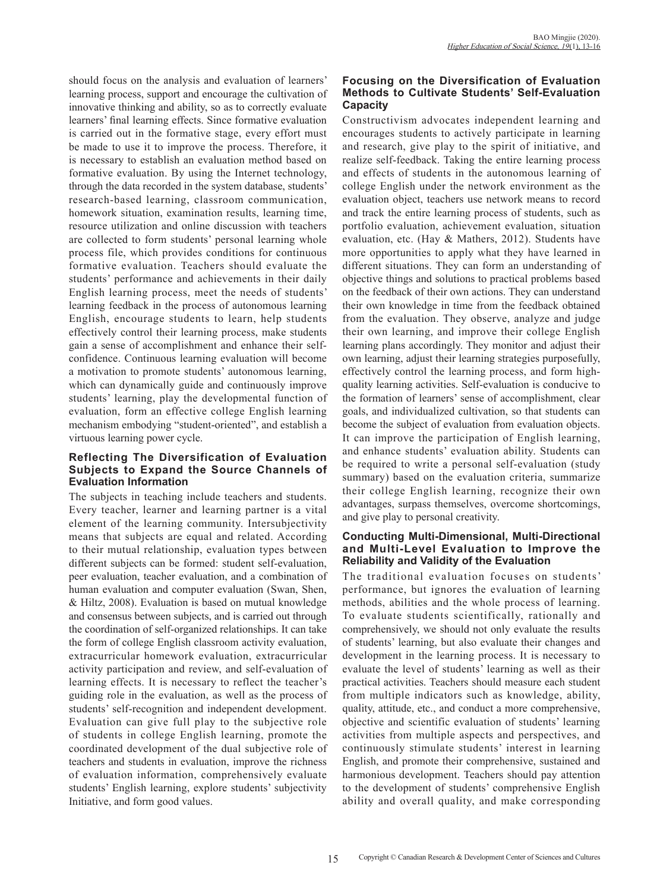should focus on the analysis and evaluation of learners' learning process, support and encourage the cultivation of innovative thinking and ability, so as to correctly evaluate learners' final learning effects. Since formative evaluation is carried out in the formative stage, every effort must be made to use it to improve the process. Therefore, it is necessary to establish an evaluation method based on formative evaluation. By using the Internet technology, through the data recorded in the system database, students' research-based learning, classroom communication, homework situation, examination results, learning time, resource utilization and online discussion with teachers are collected to form students' personal learning whole process file, which provides conditions for continuous formative evaluation. Teachers should evaluate the students' performance and achievements in their daily English learning process, meet the needs of students' learning feedback in the process of autonomous learning English, encourage students to learn, help students effectively control their learning process, make students gain a sense of accomplishment and enhance their selfconfidence. Continuous learning evaluation will become a motivation to promote students' autonomous learning, which can dynamically guide and continuously improve students' learning, play the developmental function of evaluation, form an effective college English learning mechanism embodying "student-oriented", and establish a virtuous learning power cycle.

#### **Reflecting The Diversification of Evaluation Subjects to Expand the Source Channels of Evaluation Information**

The subjects in teaching include teachers and students. Every teacher, learner and learning partner is a vital element of the learning community. Intersubjectivity means that subjects are equal and related. According to their mutual relationship, evaluation types between different subjects can be formed: student self-evaluation, peer evaluation, teacher evaluation, and a combination of human evaluation and computer evaluation (Swan, Shen, & Hiltz, 2008). Evaluation is based on mutual knowledge and consensus between subjects, and is carried out through the coordination of self-organized relationships. It can take the form of college English classroom activity evaluation, extracurricular homework evaluation, extracurricular activity participation and review, and self-evaluation of learning effects. It is necessary to reflect the teacher's guiding role in the evaluation, as well as the process of students' self-recognition and independent development. Evaluation can give full play to the subjective role of students in college English learning, promote the coordinated development of the dual subjective role of teachers and students in evaluation, improve the richness of evaluation information, comprehensively evaluate students' English learning, explore students' subjectivity Initiative, and form good values.

### **Focusing on the Diversification of Evaluation Methods to Cultivate Students' Self-Evaluation Capacity**

Constructivism advocates independent learning and encourages students to actively participate in learning and research, give play to the spirit of initiative, and realize self-feedback. Taking the entire learning process and effects of students in the autonomous learning of college English under the network environment as the evaluation object, teachers use network means to record and track the entire learning process of students, such as portfolio evaluation, achievement evaluation, situation evaluation, etc. (Hay & Mathers, 2012). Students have more opportunities to apply what they have learned in different situations. They can form an understanding of objective things and solutions to practical problems based on the feedback of their own actions. They can understand their own knowledge in time from the feedback obtained from the evaluation. They observe, analyze and judge their own learning, and improve their college English learning plans accordingly. They monitor and adjust their own learning, adjust their learning strategies purposefully, effectively control the learning process, and form highquality learning activities. Self-evaluation is conducive to the formation of learners' sense of accomplishment, clear goals, and individualized cultivation, so that students can become the subject of evaluation from evaluation objects. It can improve the participation of English learning, and enhance students' evaluation ability. Students can be required to write a personal self-evaluation (study summary) based on the evaluation criteria, summarize their college English learning, recognize their own advantages, surpass themselves, overcome shortcomings, and give play to personal creativity.

#### **Conducting Multi-Dimensional, Multi-Directional and Multi-Level Evaluation to Improve the Reliability and Validity of the Evaluation**

The traditional evaluation focuses on students' performance, but ignores the evaluation of learning methods, abilities and the whole process of learning. To evaluate students scientifically, rationally and comprehensively, we should not only evaluate the results of students' learning, but also evaluate their changes and development in the learning process. It is necessary to evaluate the level of students' learning as well as their practical activities. Teachers should measure each student from multiple indicators such as knowledge, ability, quality, attitude, etc., and conduct a more comprehensive, objective and scientific evaluation of students' learning activities from multiple aspects and perspectives, and continuously stimulate students' interest in learning English, and promote their comprehensive, sustained and harmonious development. Teachers should pay attention to the development of students' comprehensive English ability and overall quality, and make corresponding